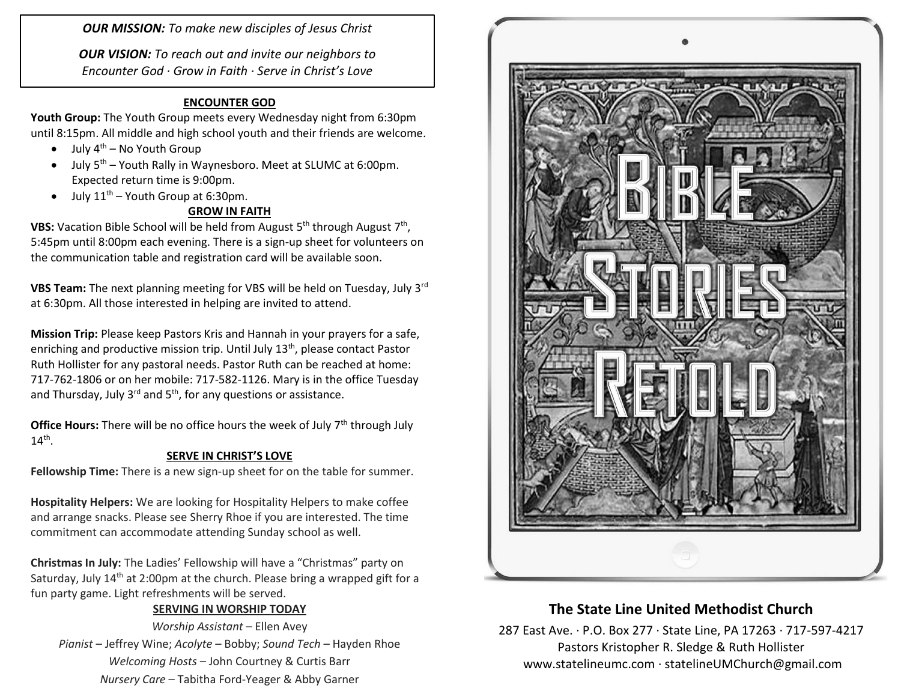*OUR MISSION: To make new disciples of Jesus Christ*

*OUR VISION: To reach out and invite our neighbors to Encounter God · Grow in Faith · Serve in Christ's Love*

#### **ENCOUNTER GOD**

**Youth Group:** The Youth Group meets every Wednesday night from 6:30pm until 8:15pm. All middle and high school youth and their friends are welcome.

- $\bullet$  July 4<sup>th</sup> No Youth Group
- $\bullet$  July 5<sup>th</sup> Youth Rally in Waynesboro. Meet at SLUMC at 6:00pm. Expected return time is 9:00pm.
- $\bullet$  July 11<sup>th</sup> Youth Group at 6:30pm.

## **GROW IN FAITH**

**VBS:** Vacation Bible School will be held from August 5<sup>th</sup> through August 7<sup>th</sup>, 5:45pm until 8:00pm each evening. There is a sign-up sheet for volunteers on the communication table and registration card will be available soon.

**VBS Team:** The next planning meeting for VBS will be held on Tuesday, July 3rd at 6:30pm. All those interested in helping are invited to attend.

**Mission Trip:** Please keep Pastors Kris and Hannah in your prayers for a safe, enriching and productive mission trip. Until July 13<sup>th</sup>, please contact Pastor Ruth Hollister for any pastoral needs. Pastor Ruth can be reached at home: 717-762-1806 or on her mobile: 717-582-1126. Mary is in the office Tuesday and Thursday, July  $3^{rd}$  and  $5^{th}$ , for any questions or assistance.

**Office Hours:** There will be no office hours the week of July 7<sup>th</sup> through July  $14<sup>th</sup>$ .

## **SERVE IN CHRIST'S LOVE**

**Fellowship Time:** There is a new sign-up sheet for on the table for summer.

**Hospitality Helpers:** We are looking for Hospitality Helpers to make coffee and arrange snacks. Please see Sherry Rhoe if you are interested. The time commitment can accommodate attending Sunday school as well.

**Christmas In July:** The Ladies' Fellowship will have a "Christmas" party on Saturday, July  $14<sup>th</sup>$  at 2:00pm at the church. Please bring a wrapped gift for a fun party game. Light refreshments will be served.

## **SERVING IN WORSHIP TODAY**

*Worship Assistant* – Ellen Avey *Pianist* – Jeffrey Wine; *Acolyte* – Bobby; *Sound Tech* – Hayden Rhoe *Welcoming Hosts* – John Courtney & Curtis Barr *Nursery Care* – Tabitha Ford-Yeager & Abby Garner



# **The State Line United Methodist Church**

287 East Ave. · P.O. Box 277 · State Line, PA 17263 · 717-597-4217 Pastors Kristopher R. Sledge & Ruth Hollister [www.statelineumc.com](http://www.statelineumc.com/) · statelineUMChurch@gmail.com